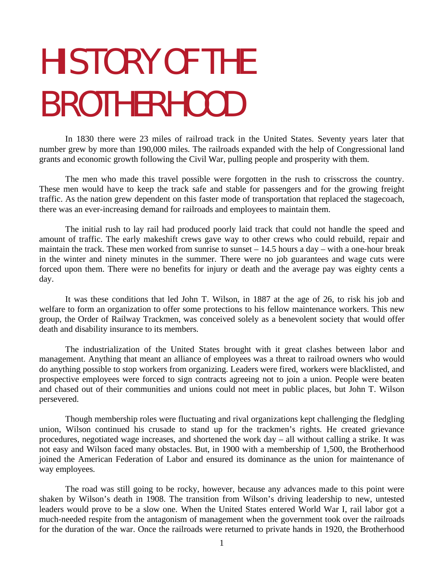# HISTORY OF THE BROTHERHOOD

In 1830 there were 23 miles of railroad track in the United States. Seventy years later that number grew by more than 190,000 miles. The railroads expanded with the help of Congressional land grants and economic growth following the Civil War, pulling people and prosperity with them.

The men who made this travel possible were forgotten in the rush to crisscross the country. These men would have to keep the track safe and stable for passengers and for the growing freight traffic. As the nation grew dependent on this faster mode of transportation that replaced the stagecoach, there was an ever-increasing demand for railroads and employees to maintain them.

The initial rush to lay rail had produced poorly laid track that could not handle the speed and amount of traffic. The early makeshift crews gave way to other crews who could rebuild, repair and maintain the track. These men worked from sunrise to sunset  $-14.5$  hours a day – with a one-hour break in the winter and ninety minutes in the summer. There were no job guarantees and wage cuts were forced upon them. There were no benefits for injury or death and the average pay was eighty cents a day.

It was these conditions that led John T. Wilson, in 1887 at the age of 26, to risk his job and welfare to form an organization to offer some protections to his fellow maintenance workers. This new group, the Order of Railway Trackmen, was conceived solely as a benevolent society that would offer death and disability insurance to its members.

The industrialization of the United States brought with it great clashes between labor and management. Anything that meant an alliance of employees was a threat to railroad owners who would do anything possible to stop workers from organizing. Leaders were fired, workers were blacklisted, and prospective employees were forced to sign contracts agreeing not to join a union. People were beaten and chased out of their communities and unions could not meet in public places, but John T. Wilson persevered.

Though membership roles were fluctuating and rival organizations kept challenging the fledgling union, Wilson continued his crusade to stand up for the trackmen's rights. He created grievance procedures, negotiated wage increases, and shortened the work day – all without calling a strike. It was not easy and Wilson faced many obstacles. But, in 1900 with a membership of 1,500, the Brotherhood joined the American Federation of Labor and ensured its dominance as the union for maintenance of way employees.

The road was still going to be rocky, however, because any advances made to this point were shaken by Wilson's death in 1908. The transition from Wilson's driving leadership to new, untested leaders would prove to be a slow one. When the United States entered World War I, rail labor got a much-needed respite from the antagonism of management when the government took over the railroads for the duration of the war. Once the railroads were returned to private hands in 1920, the Brotherhood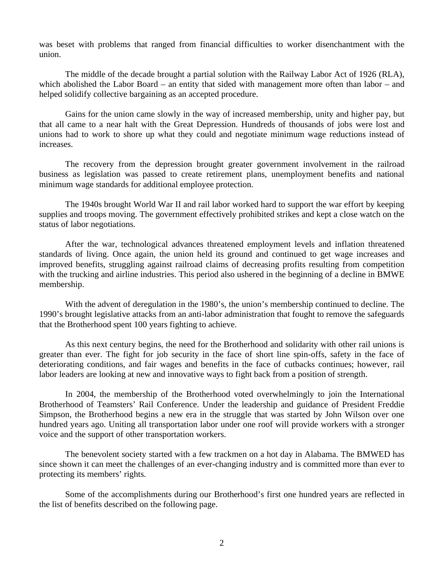was beset with problems that ranged from financial difficulties to worker disenchantment with the union.

The middle of the decade brought a partial solution with the Railway Labor Act of 1926 (RLA), which abolished the Labor Board – an entity that sided with management more often than labor – and helped solidify collective bargaining as an accepted procedure.

Gains for the union came slowly in the way of increased membership, unity and higher pay, but that all came to a near halt with the Great Depression. Hundreds of thousands of jobs were lost and unions had to work to shore up what they could and negotiate minimum wage reductions instead of increases.

The recovery from the depression brought greater government involvement in the railroad business as legislation was passed to create retirement plans, unemployment benefits and national minimum wage standards for additional employee protection.

The 1940s brought World War II and rail labor worked hard to support the war effort by keeping supplies and troops moving. The government effectively prohibited strikes and kept a close watch on the status of labor negotiations.

After the war, technological advances threatened employment levels and inflation threatened standards of living. Once again, the union held its ground and continued to get wage increases and improved benefits, struggling against railroad claims of decreasing profits resulting from competition with the trucking and airline industries. This period also ushered in the beginning of a decline in BMWE membership.

With the advent of deregulation in the 1980's, the union's membership continued to decline. The 1990's brought legislative attacks from an anti-labor administration that fought to remove the safeguards that the Brotherhood spent 100 years fighting to achieve.

As this next century begins, the need for the Brotherhood and solidarity with other rail unions is greater than ever. The fight for job security in the face of short line spin-offs, safety in the face of deteriorating conditions, and fair wages and benefits in the face of cutbacks continues; however, rail labor leaders are looking at new and innovative ways to fight back from a position of strength.

In 2004, the membership of the Brotherhood voted overwhelmingly to join the International Brotherhood of Teamsters' Rail Conference. Under the leadership and guidance of President Freddie Simpson, the Brotherhood begins a new era in the struggle that was started by John Wilson over one hundred years ago. Uniting all transportation labor under one roof will provide workers with a stronger voice and the support of other transportation workers.

The benevolent society started with a few trackmen on a hot day in Alabama. The BMWED has since shown it can meet the challenges of an ever-changing industry and is committed more than ever to protecting its members' rights.

Some of the accomplishments during our Brotherhood's first one hundred years are reflected in the list of benefits described on the following page.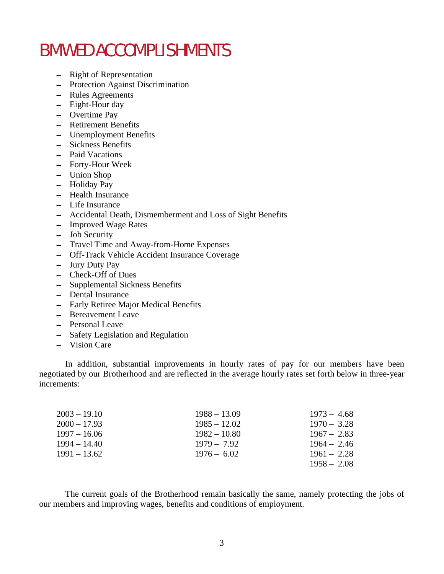## BMWED ACCOMPLISHMENTS

- − Right of Representation
- − Protection Against Discrimination
- − Rules Agreements
- − Eight-Hour day
- − Overtime Pay
- − Retirement Benefits
- − Unemployment Benefits
- − Sickness Benefits
- − Paid Vacations
- − Forty-Hour Week
- − Union Shop
- − Holiday Pay
- − Health Insurance
- − Life Insurance
- − Accidental Death, Dismemberment and Loss of Sight Benefits
- − Improved Wage Rates
- − Job Security
- − Travel Time and Away-from-Home Expenses
- − Off-Track Vehicle Accident Insurance Coverage
- − Jury Duty Pay
- − Check-Off of Dues
- − Supplemental Sickness Benefits
- − Dental Insurance
- − Early Retiree Major Medical Benefits
- − Bereavement Leave
- − Personal Leave
- − Safety Legislation and Regulation
- − Vision Care

In addition, substantial improvements in hourly rates of pay for our members have been negotiated by our Brotherhood and are reflected in the average hourly rates set forth below in three-year increments:

| $2003 - 19.10$ | $1988 - 13.09$ | $1973 - 4.68$ |
|----------------|----------------|---------------|
| $2000 - 17.93$ | $1985 - 12.02$ | $1970 - 3.28$ |
| $1997 - 16.06$ | $1982 - 10.80$ | $1967 - 2.83$ |
| $1994 - 14.40$ | $1979 - 7.92$  | $1964 - 2.46$ |
| 1991 – 13.62   | $1976 - 6.02$  | $1961 - 2.28$ |
|                |                | $1958 - 2.08$ |

The current goals of the Brotherhood remain basically the same, namely protecting the jobs of our members and improving wages, benefits and conditions of employment.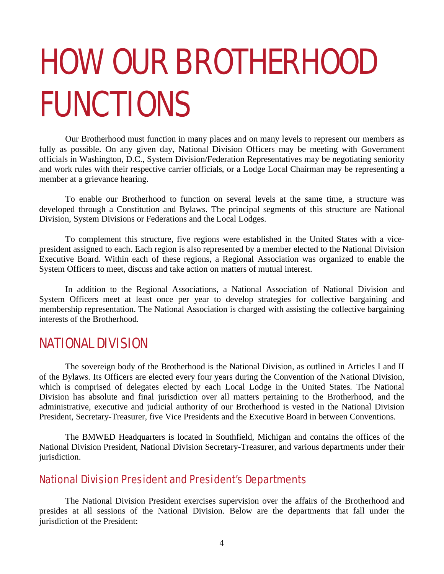# HOW OUR BROTHERHOOD FUNCTIONS

Our Brotherhood must function in many places and on many levels to represent our members as fully as possible. On any given day, National Division Officers may be meeting with Government officials in Washington, D.C., System Division/Federation Representatives may be negotiating seniority and work rules with their respective carrier officials, or a Lodge Local Chairman may be representing a member at a grievance hearing.

To enable our Brotherhood to function on several levels at the same time, a structure was developed through a Constitution and Bylaws. The principal segments of this structure are National Division, System Divisions or Federations and the Local Lodges.

To complement this structure, five regions were established in the United States with a vicepresident assigned to each. Each region is also represented by a member elected to the National Division Executive Board. Within each of these regions, a Regional Association was organized to enable the System Officers to meet, discuss and take action on matters of mutual interest.

In addition to the Regional Associations, a National Association of National Division and System Officers meet at least once per year to develop strategies for collective bargaining and membership representation. The National Association is charged with assisting the collective bargaining interests of the Brotherhood.

## NATIONAL DIVISION

The sovereign body of the Brotherhood is the National Division, as outlined in Articles I and II of the Bylaws. Its Officers are elected every four years during the Convention of the National Division, which is comprised of delegates elected by each Local Lodge in the United States. The National Division has absolute and final jurisdiction over all matters pertaining to the Brotherhood, and the administrative, executive and judicial authority of our Brotherhood is vested in the National Division President, Secretary-Treasurer, five Vice Presidents and the Executive Board in between Conventions.

The BMWED Headquarters is located in Southfield, Michigan and contains the offices of the National Division President, National Division Secretary-Treasurer, and various departments under their jurisdiction.

## National Division President and President's Departments

The National Division President exercises supervision over the affairs of the Brotherhood and presides at all sessions of the National Division. Below are the departments that fall under the jurisdiction of the President: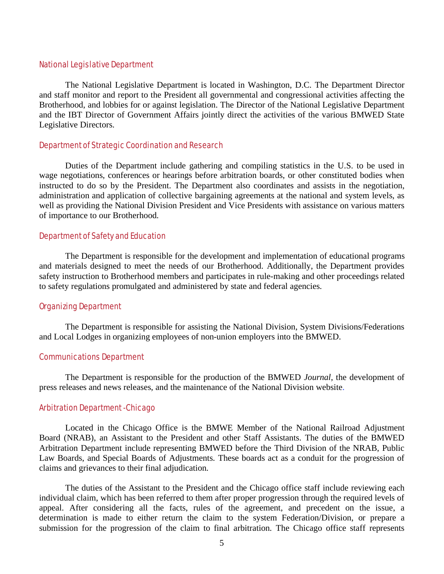#### National Legislative Department

The National Legislative Department is located in Washington, D.C. The Department Director and staff monitor and report to the President all governmental and congressional activities affecting the Brotherhood, and lobbies for or against legislation. The Director of the National Legislative Department and the IBT Director of Government Affairs jointly direct the activities of the various BMWED State Legislative Directors.

### Department of Strategic Coordination and Research

Duties of the Department include gathering and compiling statistics in the U.S. to be used in wage negotiations, conferences or hearings before arbitration boards, or other constituted bodies when instructed to do so by the President. The Department also coordinates and assists in the negotiation, administration and application of collective bargaining agreements at the national and system levels, as well as providing the National Division President and Vice Presidents with assistance on various matters of importance to our Brotherhood.

### Department of Safety and Education

The Department is responsible for the development and implementation of educational programs and materials designed to meet the needs of our Brotherhood. Additionally, the Department provides safety instruction to Brotherhood members and participates in rule-making and other proceedings related to safety regulations promulgated and administered by state and federal agencies.

### Organizing Department

The Department is responsible for assisting the National Division, System Divisions/Federations and Local Lodges in organizing employees of non-union employers into the BMWED.

#### Communications Department

The Department is responsible for the production of the BMWED *Journal*, the development of press releases and news releases, and the maintenance of the National Division website.

#### Arbitration Department -Chicago

Located in the Chicago Office is the BMWE Member of the National Railroad Adjustment Board (NRAB), an Assistant to the President and other Staff Assistants. The duties of the BMWED Arbitration Department include representing BMWED before the Third Division of the NRAB, Public Law Boards, and Special Boards of Adjustments. These boards act as a conduit for the progression of claims and grievances to their final adjudication.

The duties of the Assistant to the President and the Chicago office staff include reviewing each individual claim, which has been referred to them after proper progression through the required levels of appeal. After considering all the facts, rules of the agreement, and precedent on the issue, a determination is made to either return the claim to the system Federation/Division, or prepare a submission for the progression of the claim to final arbitration. The Chicago office staff represents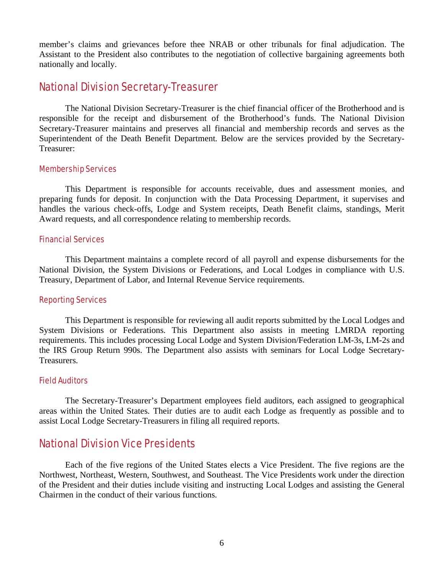member's claims and grievances before thee NRAB or other tribunals for final adjudication. The Assistant to the President also contributes to the negotiation of collective bargaining agreements both nationally and locally.

## National Division Secretary-Treasurer

The National Division Secretary-Treasurer is the chief financial officer of the Brotherhood and is responsible for the receipt and disbursement of the Brotherhood's funds. The National Division Secretary-Treasurer maintains and preserves all financial and membership records and serves as the Superintendent of the Death Benefit Department. Below are the services provided by the Secretary-Treasurer:

## Membership Services

This Department is responsible for accounts receivable, dues and assessment monies, and preparing funds for deposit. In conjunction with the Data Processing Department, it supervises and handles the various check-offs, Lodge and System receipts, Death Benefit claims, standings, Merit Award requests, and all correspondence relating to membership records.

## Financial Services

This Department maintains a complete record of all payroll and expense disbursements for the National Division, the System Divisions or Federations, and Local Lodges in compliance with U.S. Treasury, Department of Labor, and Internal Revenue Service requirements.

#### Reporting Services

This Department is responsible for reviewing all audit reports submitted by the Local Lodges and System Divisions or Federations. This Department also assists in meeting LMRDA reporting requirements. This includes processing Local Lodge and System Division/Federation LM-3s, LM-2s and the IRS Group Return 990s. The Department also assists with seminars for Local Lodge Secretary-Treasurers.

## Field Auditors

The Secretary-Treasurer's Department employees field auditors, each assigned to geographical areas within the United States. Their duties are to audit each Lodge as frequently as possible and to assist Local Lodge Secretary-Treasurers in filing all required reports.

## National Division Vice Presidents

Each of the five regions of the United States elects a Vice President. The five regions are the Northwest, Northeast, Western, Southwest, and Southeast. The Vice Presidents work under the direction of the President and their duties include visiting and instructing Local Lodges and assisting the General Chairmen in the conduct of their various functions.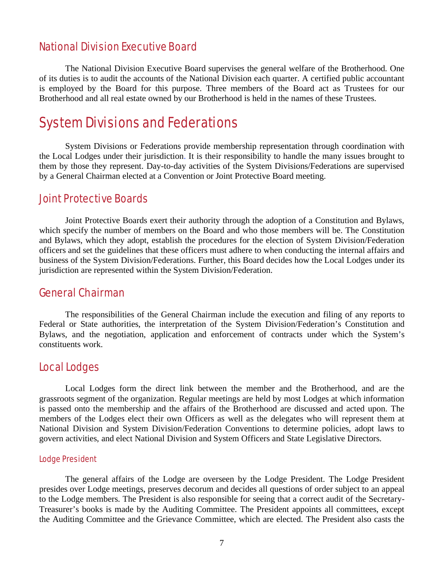## National Division Executive Board

The National Division Executive Board supervises the general welfare of the Brotherhood. One of its duties is to audit the accounts of the National Division each quarter. A certified public accountant is employed by the Board for this purpose. Three members of the Board act as Trustees for our Brotherhood and all real estate owned by our Brotherhood is held in the names of these Trustees.

## System Divisions and Federations

System Divisions or Federations provide membership representation through coordination with the Local Lodges under their jurisdiction. It is their responsibility to handle the many issues brought to them by those they represent. Day-to-day activities of the System Divisions/Federations are supervised by a General Chairman elected at a Convention or Joint Protective Board meeting.

## Joint Protective Boards

Joint Protective Boards exert their authority through the adoption of a Constitution and Bylaws, which specify the number of members on the Board and who those members will be. The Constitution and Bylaws, which they adopt, establish the procedures for the election of System Division/Federation officers and set the guidelines that these officers must adhere to when conducting the internal affairs and business of the System Division/Federations. Further, this Board decides how the Local Lodges under its jurisdiction are represented within the System Division/Federation.

## General Chairman

The responsibilities of the General Chairman include the execution and filing of any reports to Federal or State authorities, the interpretation of the System Division/Federation's Constitution and Bylaws, and the negotiation, application and enforcement of contracts under which the System's constituents work.

## Local Lodges

Local Lodges form the direct link between the member and the Brotherhood, and are the grassroots segment of the organization. Regular meetings are held by most Lodges at which information is passed onto the membership and the affairs of the Brotherhood are discussed and acted upon. The members of the Lodges elect their own Officers as well as the delegates who will represent them at National Division and System Division/Federation Conventions to determine policies, adopt laws to govern activities, and elect National Division and System Officers and State Legislative Directors.

## Lodge President

The general affairs of the Lodge are overseen by the Lodge President. The Lodge President presides over Lodge meetings, preserves decorum and decides all questions of order subject to an appeal to the Lodge members. The President is also responsible for seeing that a correct audit of the Secretary-Treasurer's books is made by the Auditing Committee. The President appoints all committees, except the Auditing Committee and the Grievance Committee, which are elected. The President also casts the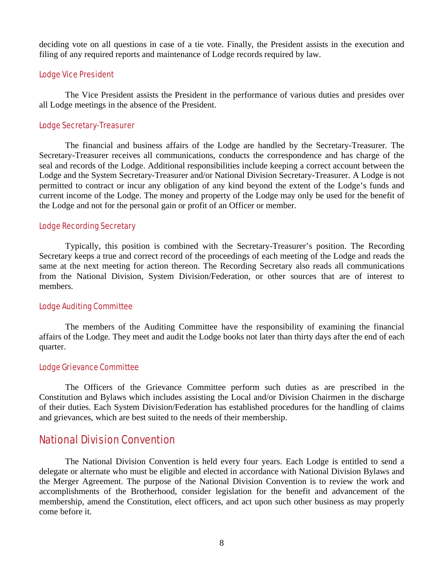deciding vote on all questions in case of a tie vote. Finally, the President assists in the execution and filing of any required reports and maintenance of Lodge records required by law.

## Lodge Vice President

The Vice President assists the President in the performance of various duties and presides over all Lodge meetings in the absence of the President.

## Lodge Secretary-Treasurer

The financial and business affairs of the Lodge are handled by the Secretary-Treasurer. The Secretary-Treasurer receives all communications, conducts the correspondence and has charge of the seal and records of the Lodge. Additional responsibilities include keeping a correct account between the Lodge and the System Secretary-Treasurer and/or National Division Secretary-Treasurer. A Lodge is not permitted to contract or incur any obligation of any kind beyond the extent of the Lodge's funds and current income of the Lodge. The money and property of the Lodge may only be used for the benefit of the Lodge and not for the personal gain or profit of an Officer or member.

### Lodge Recording Secretary

Typically, this position is combined with the Secretary-Treasurer's position. The Recording Secretary keeps a true and correct record of the proceedings of each meeting of the Lodge and reads the same at the next meeting for action thereon. The Recording Secretary also reads all communications from the National Division, System Division/Federation, or other sources that are of interest to members.

### Lodge Auditing Committee

The members of the Auditing Committee have the responsibility of examining the financial affairs of the Lodge. They meet and audit the Lodge books not later than thirty days after the end of each quarter.

## Lodge Grievance Committee

The Officers of the Grievance Committee perform such duties as are prescribed in the Constitution and Bylaws which includes assisting the Local and/or Division Chairmen in the discharge of their duties. Each System Division/Federation has established procedures for the handling of claims and grievances, which are best suited to the needs of their membership.

## National Division Convention

The National Division Convention is held every four years. Each Lodge is entitled to send a delegate or alternate who must be eligible and elected in accordance with National Division Bylaws and the Merger Agreement. The purpose of the National Division Convention is to review the work and accomplishments of the Brotherhood, consider legislation for the benefit and advancement of the membership, amend the Constitution, elect officers, and act upon such other business as may properly come before it.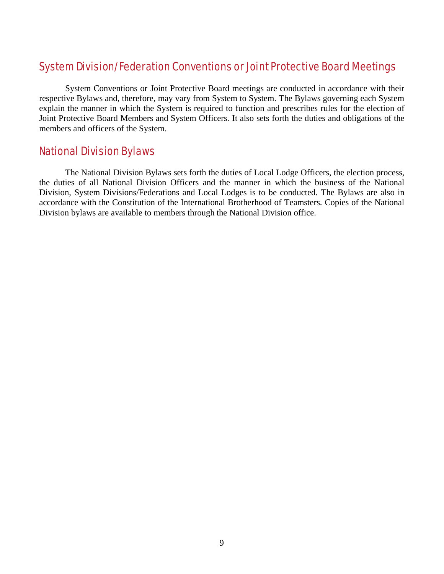## System Division/Federation Conventions or Joint Protective Board Meetings

System Conventions or Joint Protective Board meetings are conducted in accordance with their respective Bylaws and, therefore, may vary from System to System. The Bylaws governing each System explain the manner in which the System is required to function and prescribes rules for the election of Joint Protective Board Members and System Officers. It also sets forth the duties and obligations of the members and officers of the System.

## National Division Bylaws

The National Division Bylaws sets forth the duties of Local Lodge Officers, the election process, the duties of all National Division Officers and the manner in which the business of the National Division, System Divisions/Federations and Local Lodges is to be conducted. The Bylaws are also in accordance with the Constitution of the International Brotherhood of Teamsters. Copies of the National Division bylaws are available to members through the National Division office.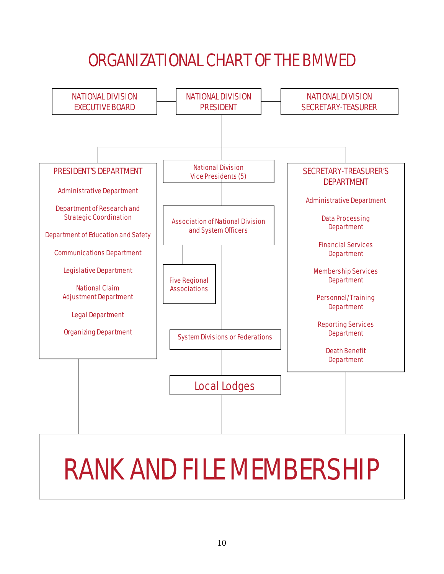## ORGANIZATIONAL CHART OF THE BMWED



# RANK AND FILE MEMBERSHIP